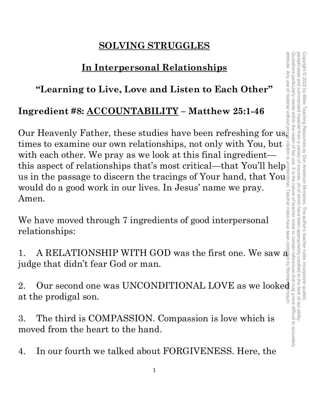# **SOLVING STRUGGLES**

# **In Interpersonal Relationships**

# **"Learning to Live, Love and Listen to Each Other"**

# **Ingredient #8: ACCOUNTABILITY – Matthew 25:1-46**

Our Heavenly Father, these studies have been refreshing for us. times to examine our own relationships, not only with You, but with each other. We pray as we look at this final ingredient this aspect of relationships that's most critical—that You'll help us in the passage to discern the tracings of Your hand, that You<sup>n</sup> would do a good work in our lives. In Jesus' name we pray. Amen.

We have moved through 7 ingredients of good interpersonal relationships:

1. A RELATIONSHIP WITH GOD was the first one. We saw  $\vec{\mathcal{R}}$ judge that didn't fear God or man.

2. Our second one was UNCONDITIONAL LOVE as we looked at the prodigal son.

3. The third is COMPASSION. Compassion is love which is moved from the heart to the hand.

4. In our fourth we talked about FORGIVENESS. Here, the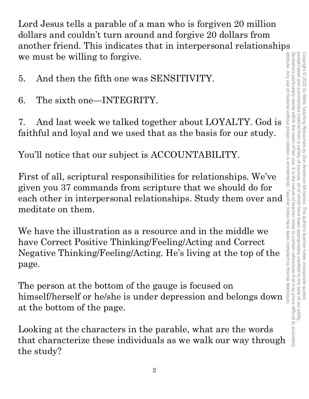Lord Jesus tells a parable of a man who is forgiven 20 million dollars and couldn't turn around and forgive 20 dollars from another friend. This indicates that in interpersonal relationships we must be willing to forgive.

- 5. And then the fifth one was SENSITIVITY.
- 6. The sixth one—INTEGRITY.

7. And last week we talked together about LOYALTY. God is faithful and loyal and we used that as the basis for our study.

You'll notice that our subject is ACCOUNTABILITY.

First of all, scriptural responsibilities for relationships. We've given you 37 commands from scripture that we should do for meditate on them.

given you of commands from scripture that we should do for<br>each other in interpersonal relationships. Study them over and<br>meditate on them.<br>We have the illustration as a resource and in the middle we<br>have Correct Positive We have the illustration as a resource and in the middle we have Correct Positive Thinking/Feeling/Acting and Correct Negative Thinking/Feeling/Acting. He's living at the top of the page.

The person at the bottom of the gauge is focused on himself/herself or he/she is under depression and belongs down at the bottom of the page.

Looking at the characters in the parable, what are the words that characterize these individuals as we walk our way through the study?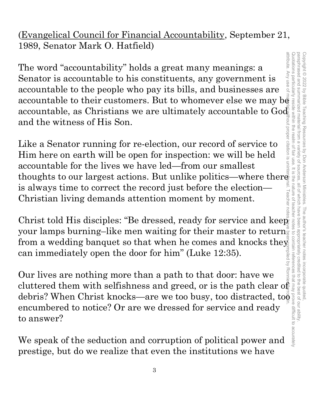(Evangelical Council for Financial Accountability, September 21, 1989, Senator Mark O. Hatfield)

The word "accountability" holds a great many meanings: a<br>Senator is accountable to his constituents, any government is<br>accountable to the people who pay its bills, and businesses are<br>accountable to their customers. But to attribute. Any attribute. Any use of material without proper citation is unintentional. Teacher notes have been compiled by Ronnie Marroquin.The word "accountability" holds a great many meanings: a Senator is accountable to his constituents, any government is **USe of** accountable to the people who pay its bills, and businesses are accountable, as Christians we are ultimately accountable to God and the witness of His Son.

Like a Senator running for re-election, our record of service to Him here on earth will be open for inspection: we will be held accountable for the lives we have led—from our smallest thoughts to our largest actions. But unlike politics—where there is always time to correct the record just before the election— Christian living demands attention moment by moment.

Christ told His disciples: "Be dressed, ready for service and keep" your lamps burning–like men waiting for their master to return from a wedding banquet so that when he comes and knocks they can immediately open the door for him" (Luke 12:35).

Our lives are nothing more than a path to that door: have we cluttered them with selfishness and greed, or is the path clear of debris? When Christ knocks—are we too busy, too distracted, to encumbered to notice? Or are we dressed for service and ready to answer?

We speak of the seduction and corruption of political power and prestige, but do we realize that even the institutions we have

Š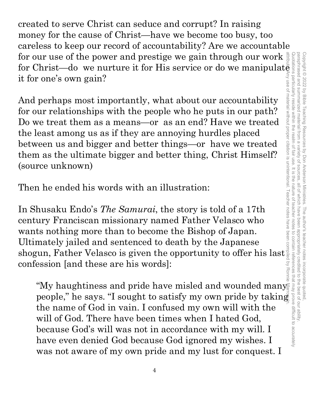created to serve Christ can seduce and corrupt? In raising money for the cause of Christ—have we become too busy, too careless to keep our record of accountability? Are we accountable for our use of the power and prestige we gain through our work for Christ—do we nurture it for His service or do we manipulate it for one's own gain?

And perhaps most importantly, what about our accountability for our relationships with the people who he puts in our path? Do we treat them as a means—or as an end? Have we treated the least among us as if they are annoying hurdles placed between us and bigger and better things—or have we treated them as the ultimate bigger and better thing, Christ Himself? (source unknown)

Then he ended his words with an illustration:

In Shusaku Endo's *The Samurai*, the story is told of a 17th century Franciscan missionary named Father Velasco who wants nothing more than to become the Bishop of Japan. Ultimately jailed and sentenced to death by the Japanese shogun, Father Velasco is given the opportunity to offer his last confession [and these are his words]:

"My haughtiness and pride have misled and wounded many people," he says. "I sought to satisfy my own pride by taking the name of God in vain. I confused my own will with the will of God. There have been times when I hated God, because God's will was not in accordance with my will. I have even denied God because God ignored my wishes. I was not aware of my own pride and my lust for conquest. I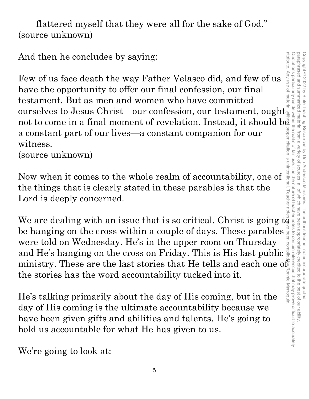paraphrased and summarized material from a variety of attribute. Any use of material without proper citation is unintentional. Teacher notes have been compiled by Ronnie Marroquin.Quotations particularly reside within the realm of fair use. It is the nature of teacher notes to contain references that may prove difficult to accurately paraphrased and summarized material from a variety of sources, all of which have been appropriately credited to the best of our ability. Copyright © 2022 by Bible Teaching Resources by Don Anderson Ministries. The author's teacher notes incorporate quoted Copyright © 2022 by Bible Teaching Resources by Don Anderson Ministries. The author's teacher notes incorporate quoted, all of which have been appropriately credited to the best of our ability

flattered myself that they were all for the sake of God." (source unknown)

And then he concludes by saying:

Few of us face death the way Father Velasco did, and few of us have the opportunity to offer our final confession, our final testament. But as men and women who have committed And then he concludes by saying:<br>
Few of us face death the way Father Velasco did, and few of us<br>
have the opportunity to offer our final confession, our final<br>
testament. But as men and women who have committed<br>
ourselve not to come in a final moment of revelation. Instead, it should be a constant part of our lives—a constant companion for our witness.

(source unknown)

Now when it comes to the whole realm of accountability, one of the things that is clearly stated in these parables is that the Lord is deeply concerned.

We are dealing with an issue that is so critical. Christ is going  $t\ddot{\theta}$ be hanging on the cross within a couple of days. These parables were told on Wednesday. He's in the upper room on Thursday and He's hanging on the cross on Friday. This is His last public ministry. These are the last stories that He tells and each one of the stories has the word accountability tucked into it.

He's talking primarily about the day of His coming, but in the day of His coming is the ultimate accountability because we have been given gifts and abilities and talents. He's going to hold us accountable for what He has given to us.

We're going to look at: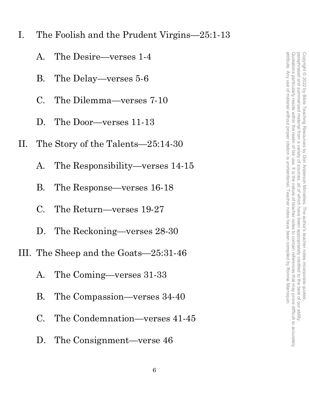I. The Foolish and the Prudent Virgins—25:1-13

- A. The Desire—verses 1-4
- B. The Delay—verses 5-6
- C. The Dilemma—verses 7-10
- D. The Door—verses 11-13
- II. The Story of the Talents—25:14-30
	- A. The Responsibility—verses 14-15
	- B. The Response—verses 16-18
	- C. The Return—verses 19-27
	- D. The Reckoning—verses 28-30
- III. The Sheep and the Goats—25:31-46
	- A. The Coming—verses 31-33
	- B. The Compassion—verses 34-40
	- C. The Condemnation—verses 41-45
	- D. The Consignment—verse 46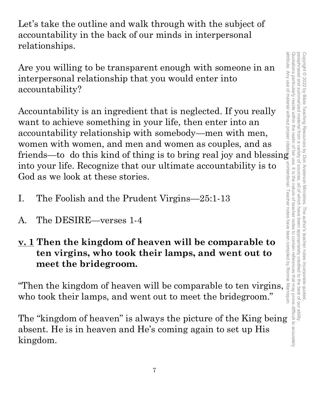paraphrased and summarized material from a attribute. Any use of material without proper citation is unintentional. Teacher notes have been compiled by Ronnie Marroquin.Quotations particularly reside within the realm of fair use. It is the nature of teacher notes to contain references that may prove difficult to accurately paraphrased and summarized material from a variety of sources, all of which have been appropriately credited to the best of our ability. Copyright © 2022 by Bible Teaching Resources by Don Anderson Ministries. The author's teacher notes incorporate quoted Copyright © 2022 by Bible Teaching Resources by Don Anderson Ministries. The author's teacher notes incorporate quoted, variety of sources. , all of which have been appropriately credited to the best of our ability.

Let's take the outline and walk through with the subject of accountability in the back of our minds in interpersonal relationships.

Are you willing to be transparent enough with someone in an interpersonal relationship that you would enter into accountability?

Accountability is an ingredient that is neglected. If you really want to achieve something in your life, then enter into an accountability relationship with somebody—men with men, women with women, and men and women as couples, and as friends—to do this kind of thing is to bring real joy and blessing into your life. Recognize that our ultimate accountability is to God as we look at these stories.

- I. The Foolish and the Prudent Virgins—25:1-13
- A. The DESIRE—verses 1-4
- **v. 1 Then the kingdom of heaven will be comparable to ten virgins, who took their lamps, and went out to meet the bridegroom.**

"Then the kingdom of heaven will be comparable to ten virgins, who took their lamps, and went out to meet the bridegroom."

The "kingdom of heaven" is always the picture of the King being absent. He is in heaven and He's coming again to set up His kingdom.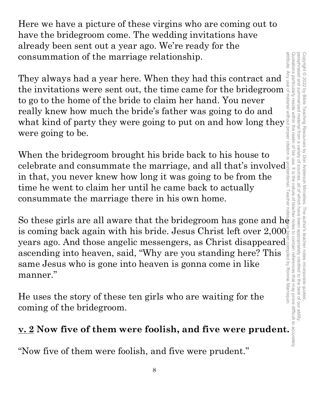Here we have a picture of these virgins who are coming out to have the bridegroom come. The wedding invitations have already been sent out a year ago. We're ready for the consummation of the marriage relationship.

They always had a year here. When they had this contract and the invitations were sent out, the time came for the bridegroom to go to the home of the bride to claim her hand. You never really knew how much the bride's father was going to do and what kind of party they were going to put on and how long they were going to be.

When the bridegroom brought his bride back to his house to celebrate and consummate the marriage, and all that's involved $\frac{1}{2}$ in that, you never knew how long it was going to be from the time he went to claim her until he came back to actually consummate the marriage there in his own home.

So these girls are all aware that the bridegroom has gone and he is coming back again with his bride. Jesus Christ left over  $2,\!000^\circ_\mathrm{\tiny\rm S}$ years ago. And those angelic messengers, as Christ disappeared<sup>s</sup> ascending into heaven, said, "Why are you standing here? This same Jesus who is gone into heaven is gonna come in like manner."

He uses the story of these ten girls who are waiting for the coming of the bridegroom.

# **v. 2 Now five of them were foolish, and five were prudent.**

"Now five of them were foolish, and five were prudent."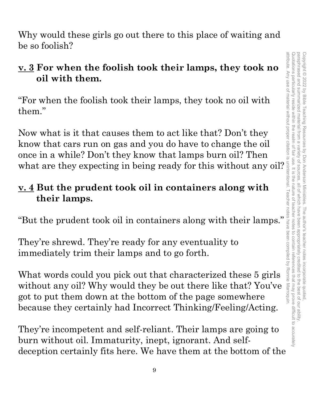Why would these girls go out there to this place of waiting and be so foolish?

# **v. 3 For when the foolish took their lamps, they took no oil with them.**

"For when the foolish took their lamps, they took no oil with them."

Now what is it that causes them to act like that? Don't they know that cars run on gas and you do have to change the oil once in a while? Don't they know that lamps burn oil? Then when the foolish took their lamps, they took no<br>
oil with them.<br>
"For when the foolish took their lamps, they took no oil with<br>
them."<br>
Now what is it that causes them to act like that? Don't they<br>
know that cars run on g

# **v. 4 But the prudent took oil in containers along with their lamps.**

"But the prudent took oil in containers along with their lamps."

They're shrewd. They're ready for any eventuality to immediately trim their lamps and to go forth.

What words could you pick out that characterized these 5 girls without any oil? Why would they be out there like that? You've got to put them down at the bottom of the page somewhere because they certainly had Incorrect Thinking/Feeling/Acting.

They're incompetent and self-reliant. Their lamps are going to burn without oil. Immaturity, inept, ignorant. And selfdeception certainly fits here. We have them at the bottom of the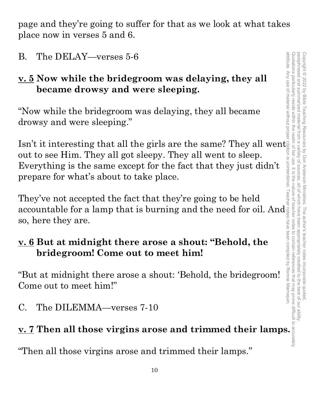paraphrased and summarized attribute. Any use of material without proper citation is unintentional. Teacher notes have been compiled by Ronnie Marroquin.Quotations particularly reside within the realm of Quotations particularly reside within the realm of fair use. It is the nature of teacher notes to contain references that may prove difficult to accurately paraphrased and summarized material from a variety of sources, all of which have been appropriately credited to the best of our ability. Copyright © 2022 by Bible Teaching Resources Copyright © 2022 by Bible Teaching Resources by Don Anderson Ministries. The author's teacher notes incorporate quoted, material variety of by Don Anderson Ministries fair use. It is the nature of sources all of The author's teacher notes incorporate quoted motes to contain references that may prove difficult to accurately dpropriately credited to the best of our ability

page and they're going to suffer for that as we look at what takes place now in verses 5 and 6.

B. The DELAY—verses 5-6

# **v. 5 Now while the bridegroom was delaying, they all became drowsy and were sleeping.**

"Now while the bridegroom was delaying, they all became drowsy and were sleeping."

Isn't it interesting that all the girls are the same? They all went out to see Him. They all got sleepy. They all went to sleep. Everything is the same except for the fact that they just didn't prepare for what's about to take place.

They've not accepted the fact that they're going to be held accountable for a lamp that is burning and the need for oil. And so, here they are.

# **v. 6 But at midnight there arose a shout: "Behold, the bridegroom! Come out to meet him!**

"But at midnight there arose a shout: 'Behold, the bridegroom! Come out to meet him!"

C. The DILEMMA—verses 7-10

# **v. 7 Then all those virgins arose and trimmed their lamps.**

"Then all those virgins arose and trimmed their lamps."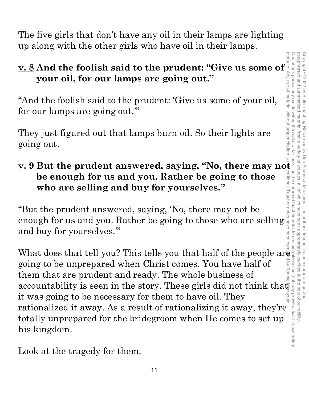paraphrased and summarized attribute. Any use of material without proper citation is unintentional. Teacher notes have been compiled by Ronnie Marroquin.Quotations particularly reside within the realm of fair use. It is the nature of teacher notes to contain references that may prove difficult to accurately paraphrased and summarized material from a variety of sources, all of which have been appropriately credited to the best of our ability. Copyright © 2022 by Bible Teaching Resources Copyright © 2022 by Bible Teaching Resources by Don Anderson Ministries. The author's teacher notes incorporate quoted, I material from a variety of sources by Don Anderson Ministries. The author's teacher notes incorporate quoted **ISUOII** all of which have been appropriately credited to the best of our ability

The five girls that don't have any oil in their lamps are lighting up along with the other girls who have oil in their lamps.

# **v. 8 And the foolish said to the prudent: "Give us some of your oil, for our lamps are going out."**

"And the foolish said to the prudent: 'Give us some of your oil, for our lamps are going out.'"

They just figured out that lamps burn oil. So their lights are going out.

# **v. 9 But the prudent answered, saying, "No, there may not be enough for us and you. Rather be going to those who are selling and buy for yourselves."**

"But the prudent answered, saying, 'No, there may not be enough for us and you. Rather be going to those who are selling and buy for yourselves.'"

What does that tell you? This tells you that half of the people are going to be unprepared when Christ comes. You have half of them that are prudent and ready. The whole business of accountability is seen in the story. These girls did not think that it was going to be necessary for them to have oil. They rationalized it away. As a result of rationalizing it away, they're totally unprepared for the bridegroom when He comes to set up his kingdom.

Look at the tragedy for them.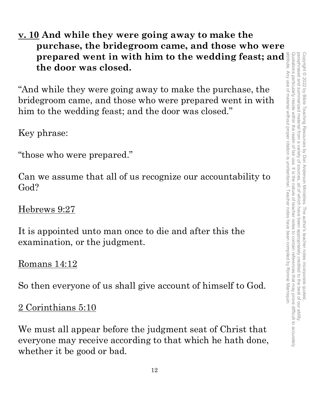**v. 10 And while they were going away to make the purchase, the bridegroom came, and those who were prepared went in with him to the wedding feast; and the door was closed.**

"And while they were going away to make the purchase, the bridegroom came, and those who were prepared went in with him to the wedding feast; and the door was closed."

Key phrase:

"those who were prepared."

Can we assume that all of us recognize our accountability to God?

Hebrews 9:27

It is appointed unto man once to die and after this the examination, or the judgment.

Romans 14:12

So then everyone of us shall give account of himself to God.

2 Corinthians 5:10

We must all appear before the judgment seat of Christ that everyone may receive according to that which he hath done, whether it be good or bad.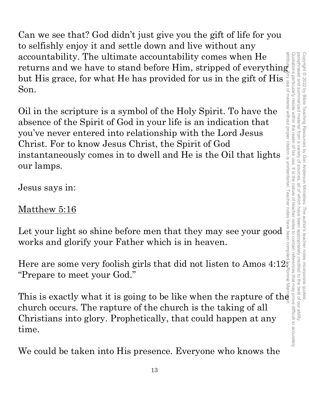Can we see that? God didn't just give you the gift of life for you to selfishly enjoy it and settle down and live without any accountability. The ultimate accountability comes when He returns and we have to stand before Him, stripped of everything returns and we have to stand before Him, stripped of everything but His grace, for what He has provided for us in the gift of His Son.

Oil in the scripture is a symbol of the Holy Spirit. To have the absence of the Spirit of God in your life is an indication that you've never entered into relationship with the Lord Jesus Christ. For to know Jesus Christ, the Spirit of God instantaneously comes in to dwell and He is the Oil that lights our lamps. accountability. The ultimate accountability comes when Hermannia and we have to stand before Him, stripped of everything<br>but His grace, for what He has provided for us in the gift of His signals<br>on.<br>Oil in the scripture i

Jesus says in:

# Matthew 5:16

Let your light so shine before men that they may see your good works and glorify your Father which is in heaven.

Here are some very foolish girls that did not listen to Amos  $4:12\frac{1}{5}$ "Prepare to meet your God."

church occurs. The rapture of the church is the taking of all Christians into glory. Prophetically, that could happen at any time.

We could be taken into His presence. Everyone who knows the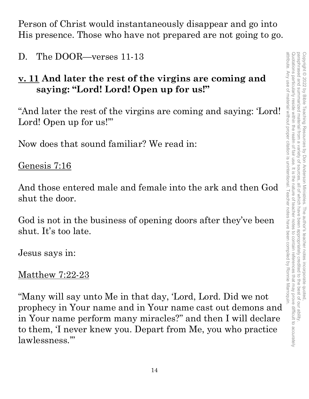Person of Christ would instantaneously disappear and go into His presence. Those who have not prepared are not going to go.

D. The DOOR—verses 11-13

# **v. 11 And later the rest of the virgins are coming and saying: "Lord! Lord! Open up for us!"**

"And later the rest of the virgins are coming and saying: 'Lord! Lord! Open up for us!'"

Now does that sound familiar? We read in:

Genesis 7:16

And those entered male and female into the ark and then God shut the door.

God is not in the business of opening doors after they've been shut. It's too late.

Jesus says in:

# Matthew 7:22-23

"Many will say unto Me in that day, 'Lord, Lord. Did we not prophecy in Your name and in Your name cast out demons and in Your name perform many miracles?" and then I will declare to them, 'I never knew you. Depart from Me, you who practice lawlessness.'"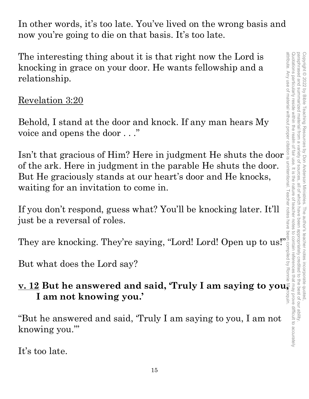In other words, it's too late. You've lived on the wrong basis and now you're going to die on that basis. It's too late.

The interesting thing about it is that right now the Lord is knocking in grace on your door. He wants fellowship and a relationship.

# Revelation 3:20

Behold, I stand at the door and knock. If any man hears My voice and opens the door . . ."

The interesting thing about it is that right now the Lord is<br>
knocking in grace on your door. He wants fellowship and a<br>
relationship.<br>
Revelation 3:20<br>
Behold, I stand at the door and knock. If any man hears My<br>
voice an of the ark. Here in judgment in the parable He shuts the door. But He graciously stands at our heart's door and He knocks, waiting for an invitation to come in.

If you don't respond, guess what? You'll be knocking later. It'll just be a reversal of roles.

They are knocking. They're saying, "Lord! Lord! Open up to us!"

But what does the Lord say?

# **v. 12 But he answered and said, 'Truly I am saying to you, I am not knowing you.'**

"But he answered and said, 'Truly I am saying to you, I am not knowing you.'"

It's too late.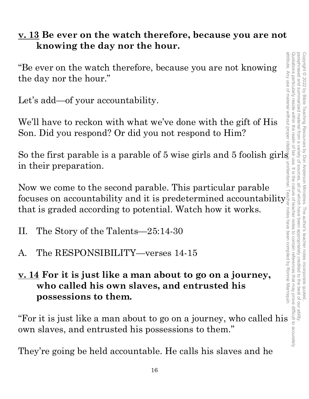# **v. 13 Be ever on the watch therefore, because you are not knowing the day nor the hour.**

"Be ever on the watch therefore, because you are not knowing the day nor the hour."

Let's add—of your accountability.

We'll have to reckon with what we've done with the gift of His Son. Did you respond? Or did you not respond to Him?

So the first parable is a parable of 5 wise girls and 5 foolish girls in their preparation.

Now we come to the second parable. This particular parable focuses on accountability and it is predetermined accountability that is graded according to potential. Watch how it works. For it is just like a man about to go on a journey, who called his own slaves, and entrusted his and internal slaves and entrusted his processions to them.<br>
"For it is just like a man about to go on a journey, who called

- II. The Story of the Talents—25:14-30
- A. The RESPONSIBILITY—verses 14-15
- **v. 14 For it is just like a man about to go on a journey, who called his own slaves, and entrusted his possessions to them.**

own slaves, and entrusted his possessions to them."

They're going be held accountable. He calls his slaves and he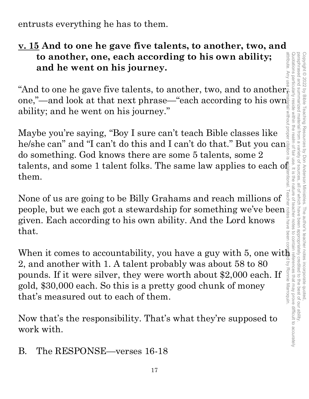Quotations particularly reside within the realm of fair use. It is the nature of teacher notes to contain references that may prove difficult to accurately paraphrased and summarized material paraphrased and summarized material from a variety of sources, all of which have been appropriately credited to the best of our ability. Copyright © 2022 Copyright © 2022 by Bible Teaching Resources by Don Anderson Ministries. The author's teacher notes incorporate quoted, by Bible Teaching Resources from a variety of sources. by Don Anderson Ministries all of which have been The author's teacher notes incorporate quoted,<br>have been appropriately credited to the best of our ability

entrusts everything he has to them.

# **v. 15 And to one he gave five talents, to another, two, and**  to another, one, each according to his own ability;<br>and he went on his journey.<br>"And to one he gave five talents, to another, two, and to another, **to another, one, each according to his own ability;**  attribute. Any **and he went on his journey.**

one,"—and look at that next phrase—"each according to his own $\frac{1}{2}$ ability; and he went on his journey."

Maybe you're saying, "Boy I sure can't teach Bible classes like he/she can" and "I can't do this and I can't do that." But you can do something. God knows there are some 5 talents, some 2 talents, and some 1 talent folks. The same law applies to each  $\mathrm{o}^{\mathsf{f}}_{\mathsf{\Xi}}$ them.

None of us are going to be Billy Grahams and reach millions of people, but we each got a stewardship for something we've been given. Each according to his own ability. And the Lord knows that.

attribute. Any use of material without proper citation is unintentional. Teacher notes have been compiled by Ronnie Marroquin.When it comes to accountability, you have a guy with 5, one with 2, and another with 1. A talent probably was about 58 to 80 Š Ronnie Marroquin pounds. If it were silver, they were worth about \$2,000 each. If gold, \$30,000 each. So this is a pretty good chunk of money that's measured out to each of them.

Now that's the responsibility. That's what they're supposed to work with.

B. The RESPONSE—verses 16-18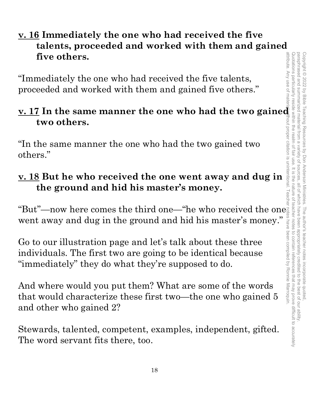# **v. 16 Immediately the one who had received the five talents, proceeded and worked with them and gained five others.**

"Immediately the one who had received the five talents, proceeded and worked with them and gained five others."

# **i** "Immediately the one who had received the five talents,<br>
proceeded and worked with them and gained five others."<br> **v.** 17 In the same manner the one who had the two gained<br>
two others.<br>
"In the same manner the one who **two others.**

"In the same manner the one who had the two gained two others."

# **v. 18 But he who received the one went away and dug in the ground and hid his master's money.**

"But"—now here comes the third one—"he who received the one went away and dug in the ground and hid his master's money."

Go to our illustration page and let's talk about these three individuals. The first two are going to be identical because "immediately" they do what they're supposed to do.

And where would you put them? What are some of the words that would characterize these first two—the one who gained 5 and other who gained 2?

Stewards, talented, competent, examples, independent, gifted. The word servant fits there, too.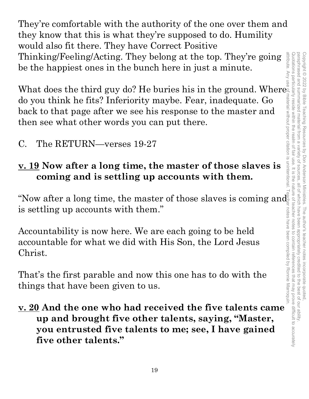They're comfortable with the authority of the one over them and they know that this is what they're supposed to do. Humility would also fit there. They have Correct Positive Thinking/Feeling/Acting. They belong at the top. They're going be the happiest ones in the bunch here in just a minute.

What does the third guy do? He buries his in the ground. Where<br>
do you think he fits? Inferiority maybe. Fear, inadequate. Go<br>
back to that page after we see his response to the master and<br>
then see what other words you c do you think he fits? Inferiority maybe. Fear, inadequate. Go back to that page after we see his response to the master and then see what other words you can put there.

C. The RETURN—verses 19-27

# **v. 19 Now after a long time, the master of those slaves is coming and is settling up accounts with them.**

"Now after a long time, the master of those slaves is coming and is settling up accounts with them."

Accountability is now here. We are each going to be held accountable for what we did with His Son, the Lord Jesus Christ.

That's the first parable and now this one has to do with the things that have been given to us.

**v. 20 And the one who had received the five talents came up and brought five other talents, saying, "Master, you entrusted five talents to me; see, I have gained five other talents."** 

attribute. Any attribute. Any use of material without proper citation is unintentional. Teacher notes have been compiled by Ronnie Marroquin.Quotations particularly reside within the realm of fair use. It is the nature of teacher notes to contain references that may prove difficult to accurately Quotations particularly reside within the realm of fair use. It is the nature of teacher notes to contain references that may prove difficult to accurately paraphrased and summarized material from paraphrased and summarized material from a variety of sources, all of which have been appropriately credited to the best of our ability. Copyright © 2022 by Bible Teaching Resources Copyright © 2022 by Bible Teaching Resources by Don Anderson Ministries. The author's teacher notes incorporate quoted,  $\overline{\omega}$ variety of by Don Anderson Ministries. sources all of which have been r notes have been compiled by Ronnie Marroquin The author's teacher notes incorporate quoted appropriately credited to the best of our ability.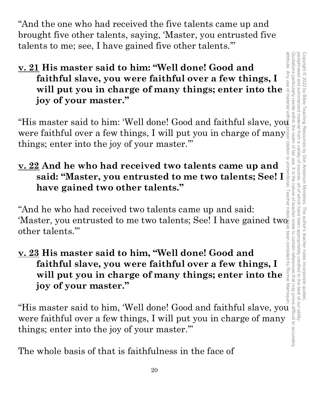"And the one who had received the five talents came up and brought five other talents, saying, 'Master, you entrusted five talents to me; see, I have gained five other talents.'"

**v. 21 His master said to him: "Well done! Good and faithful slave, you were faithful over a few things, I will put you in charge of many things; enter into the joy of your master."** 

"His master said to him: 'Well done! Good and faithful slave, you were faithful over a few things, I will put you in charge of many  $\frac{1}{9}$ were faithful over a few things, I will put you in charge of many. things; enter into the joy of your master.'"

# **v. 22 And he who had received two talents came up and said: "Master, you entrusted to me two talents; See! I have gained two other talents."**

"And he who had received two talents came up and said: 'Master, you entrusted to me two talents; See! I have gained twoother talents.'"

**v. 23 His master said to him, "Well done! Good and faithful slave, you were faithful over a few things, I will put you in charge of many things; enter into the joy of your master."** 

"His master said to him, 'Well done! Good and faithful slave, you were faithful over a few things, I will put you in charge of many things; enter into the joy of your master.'"

The whole basis of that is faithfulness in the face of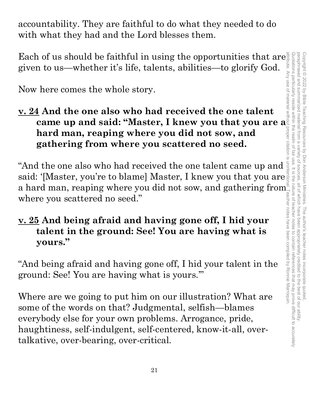accountability. They are faithful to do what they needed to do with what they had and the Lord blesses them.

Each of us should be faithful in using the opportunities that are given to us—whether it's life, talents, abilities—to glorify God.

Now here comes the whole story.

**v. 24 And the one also who had received the one talent came up and said: "Master, I knew you that you are a hard man, reaping where you did not sow, and gathering from where you scattered no seed.**

"And the one also who had received the one talent came up and said: '[Master, you're to blame] Master, I knew you that you are a hard man, reaping where you did not sow, and gathering from  $\mathring{\mathring{}}$ where you scattered no seed."

# **v. 25 And being afraid and having gone off, I hid your talent in the ground: See! You are having what is yours."**

"And being afraid and having gone off, I hid your talent in the ground: See! You are having what is yours.'"

Where are we going to put him on our illustration? What are some of the words on that? Judgmental, selfish—blames everybody else for your own problems. Arrogance, pride, haughtiness, self-indulgent, self-centered, know-it-all, overtalkative, over-bearing, over-critical.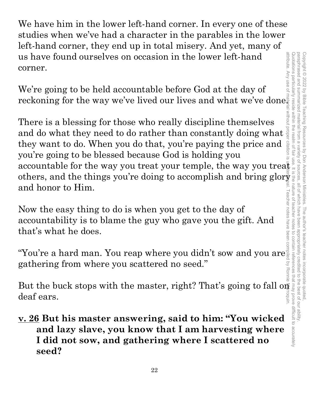We have him in the lower left-hand corner. In every one of these studies when we've had a character in the parables in the lower left-hand corner, they end up in total misery. And yet, many of us have found ourselves on occasion in the lower left-hand corner.

We're going to be held accountable before God at the day of reckoning for the way we've lived our lives and what we've done.

There is a blessing for those who really discipline themselves and do what they need to do rather than constantly doing what  $\frac{3}{8}$  they want to do. When you do that, you're paying the price and  $\frac{3}{8}$ they want to do. When you do that, you're paying the price and you're going to be blessed because God is holding you There is a blessing for those who really discipline themselves<br>and do what they need to do rather than constantly doing what  $\frac{1}{8}$ <br>they want to do. When you do that, you're paying the price and  $\frac{1}{8}$ <br>you're going others, and the things you're doing to accomplish and bring glor $\frac{2}{3}$ and honor to Him.

Now the easy thing to do is when you get to the day of accountability is to blame the guy who gave you the gift. And that's what he does.

"You're a hard man. You reap where you didn't sow and you are gathering from where you scattered no seed."

roquin deaf ears.

But the buck stops with the master, right? That's going to fall only are settled and lazy slave, you know that I am harvesting where  $\frac{1}{2}$  and lazy slave, you know that I am harvesting where  $\frac{1}{2}$  and lazy slave, **v. 26 But his master answering, said to him: "You wicked and lazy slave, you know that I am harvesting where I did not sow, and gathering where I scattered no seed?**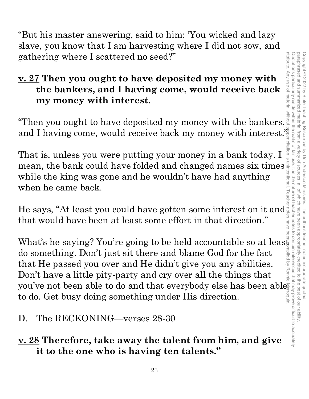"But his master answering, said to him: 'You wicked and lazy slave, you know that I am harvesting where I did not sow, and gathering where I scattered no seed?"

# **v. 27 Then you ought to have deposited my money with the bankers, and I having come, would receive back my money with interest.**

and I having come, would receive back my money with interest.

gathering where I scattered no seed?"<br>  $\underline{\mathbf{v}}$ . 27 Then you ought to have deposited my money with<br>
the bankers, and I having come, would receive back<br>
my money with interest.<br>
"Then you ought to have deposited my mone That is, unless you were putting your money in a bank today. I mean, the bank could have folded and changed names six times while the king was gone and he wouldn't have had anything when he came back.

He says, "At least you could have gotten some interest on it and that would have been at least some effort in that direction."

What's he saying? You're going to be held accountable so at least do something. Don't just sit there and blame God for the fact that He passed you over and He didn't give you any abilities. Don't have a little pity-party and cry over all the things that you've not been able to do and that everybody else has been ables to do. Get busy doing something under His direction.

# D. The RECKONING—verses 28-30

# **v. 28 Therefore, take away the talent from him, and give it to the one who is having ten talents."**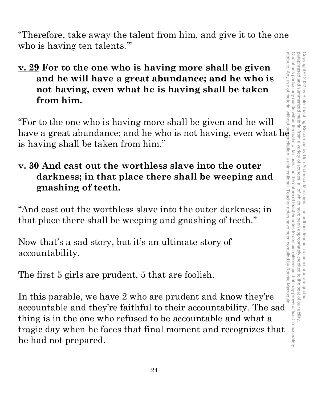Copyright © 2022 by Bible Teaching Resources by Don Anderson Ministries. The author's teacher notes incorporate quoted,<br>paraphrased and summarized material from a variety of sources, all of which have been appropriately cr paraphrased and summarized attribute. Any use of material without proper citation is unintentional. Teacher notes have been compiled by Ronnie Marroquin.Quotations particularly reside within the realm of fair use. It is the nature of teacher notes to contain references that may prove difficult to accurately paraphrased and summarized material from a variety of sources, all of which have been appropriately credited to the best of our ability. Copyright © 2022 by Bible Teaching Resources by Don Anderson Ministries. The author's teacher notes incorporate quoted,

"Therefore, take away the talent from him, and give it to the one who is having ten talents."

# **v. 29 For to the one who is having more shall be given and he will have a great abundance; and he who is not having, even what he is having shall be taken from him.**

"For to the one who is having more shall be given and he will have a great abundance; and he who is not having, even what h $\bar{\mathrm{e}}$ is having shall be taken from him."

# **v. 30 And cast out the worthless slave into the outer darkness; in that place there shall be weeping and gnashing of teeth.**

"And cast out the worthless slave into the outer darkness; in that place there shall be weeping and gnashing of teeth."

Now that's a sad story, but it's an ultimate story of accountability.

The first 5 girls are prudent, 5 that are foolish.

In this parable, we have 2 who are prudent and know they're accountable and they're faithful to their accountability. The sad thing is in the one who refused to be accountable and what a tragic day when he faces that final moment and recognizes that he had not prepared.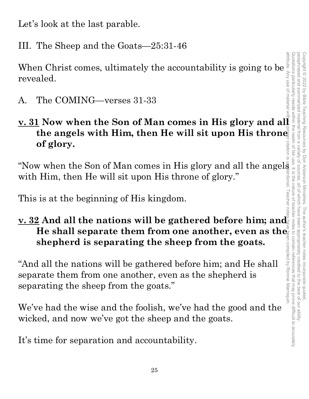Let's look at the last parable.

III. The Sheep and the Goats—25:31-46

When Christ comes, ultimately the accountability is going to be revealed.

A. The COMING—verses 31-33

# **v. 31 Now when the Son of Man comes in His glory and all the angels with Him, then He will sit upon His throne of glory.**

"Now when the Son of Man comes in His glory and all the angels  $\frac{1}{2}$ <br>with Him, then He will sit upon His throne of glory."<br>This is at the beginning of His kingdom. with Him, then He will sit upon His throne of glory."

This is at the beginning of His kingdom.

# **<u>v. 32</u> And all the nations will be gathered before him; and shepherd is separating the sheep from the goats.**

**He shall separate them from one another, even as the shepherd is separating the sheep from the goats.**<br>
d all the nations will be gathered before him; and He shall arrate them from one another, even as the shepherd is ra "And all the nations will be gathered before him; and He shall separate them from one another, even as the shepherd is separating the sheep from the goats."

We've had the wise and the foolish, we've had the good and the wicked, and now we've got the sheep and the goats.

It's time for separation and accountability.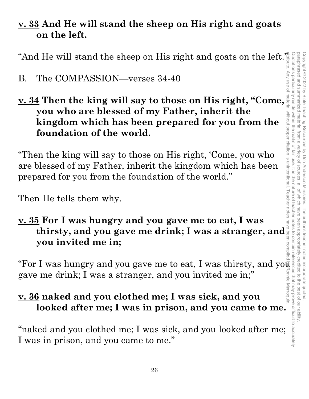# **v. 33 And He will stand the sheep on His right and goats on the left.**

"And He will stand the sheep on His right and goats on the left."

# B. The COMPASSION—verses 34-40

**B.** The COMPASSION—verses 34-40<br> **v.** 34 Then the king will say to those on His right, "Come, **you who are blessed of my Father, inherit the kingdom which has been prepared for you from the foundation of the world.**

"Then the king will say to those on His right, 'Come, you who are blessed of my Father, inherit the kingdom which has been prepared for you from the foundation of the world."

Then He tells them why.

# **v. 35 For I was hungry and you gave me to eat, I was thirsty, and you gave me drink; I was a stranger, and you invited me in;**

"For I was hungry and you gave me to eat, I was thirsty, and you gave me drink; I was a stranger, and you invited me in;"

# **v. 36 naked and you clothed me; I was sick, and you looked after me; I was in prison, and you came to me.**

"naked and you clothed me; I was sick, and you looked after me; I was in prison, and you came to me."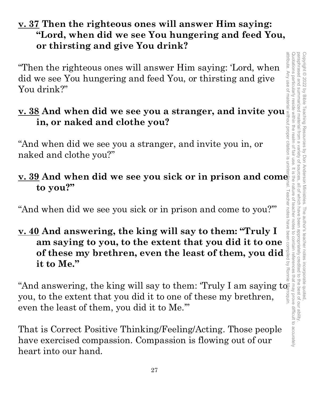# **v. 37 Then the righteous ones will answer Him saying: "Lord, when did we see You hungering and feed You, or thirsting and give You drink?**

"Then the righteous ones will answer Him saying: 'Lord, when did we see You hungering and feed You, or thirsting and give You drink?"

# **v. 38 And when did we see you a stranger, and invite you in, or naked and clothe you?**

"And when did we see you a stranger, and invite you in, or naked and clothe you?"

# **v. 39 And when did we see you sick or in prison and come to you?"**

"And when did we see you sick or in prison and come to you?'"

**v. 40 And answering, the king will say to them: "Truly I am saying to you, to the extent that you did it to one of these my brethren, even the least of them, you did**  $\frac{3}{5}$  **it to Me." of these my brethren, even the least of them, you did it to Me."** 

"And answering, the king will say to them: 'Truly I am saying to  $\equiv$ you, to the extent that you did it to one of these my brethren, even the least of them, you did it to Me.'"

That is Correct Positive Thinking/Feeling/Acting. Those people have exercised compassion. Compassion is flowing out of our heart into our hand.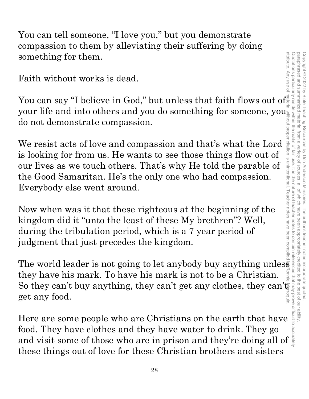You can tell someone, "I love you," but you demonstrate compassion to them by alleviating their suffering by doing something for them.

Faith without works is dead.

You can say "I believe in God," but unless that faith flows out of your life and into others and you do something for someone, you do not demonstrate compassion.

We resist acts of love and compassion and that's what the Lord is looking for from us. He wants to see those things flow out of our lives as we touch others. That's why He told the parable of the Good Samaritan. He's the only one who had compassion. Everybody else went around. something for them.<br>
Faith without works is dead.<br>
You can say "I believe in God," but unless that faith flows out of<br>
your life and into others and you do something for someone, you<br>
do not demonstrate compassion.<br>
We re

Now when was it that these righteous at the beginning of the kingdom did it "unto the least of these My brethren"? Well, during the tribulation period, which is a 7 year period of judgment that just precedes the kingdom.

The world leader is not going to let anybody buy anything unless they have his mark. To have his mark is not to be a Christian. So they can't buy anything, they can't get any clothes, they can't get any food.

food. They have clothes and they have water to drink. They go and visit some of those who are in prison and they're doing all of these things out of love for these Christian brothers and sisters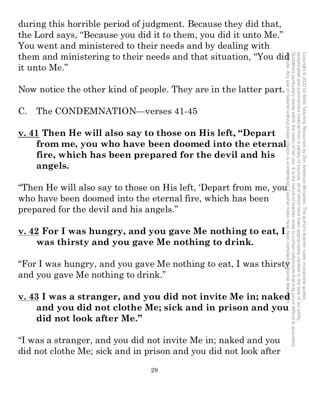during this horrible period of judgment. Because they did that, the Lord says, "Because you did it to them, you did it unto Me." You went and ministered to their needs and by dealing with them and ministering to their needs and that situation, "You did it unto Me."

Now notice the other kind of people. They are in the latter part.

- C. The CONDEMNATION—verses 41-45
- **v. 41 Then He will also say to those on His left, "Depart from me, you who have been doomed into the eternal fire, which has been prepared for the devil and his angels.**

"Then He will also say to those on His left, 'Depart from me, you $\stackrel{\circ}{\ll}$ who have been doomed into the eternal fire, which has been prepared for the devil and his angels."

# **v. 42 For I was hungry, and you gave Me nothing to eat, I was thirsty and you gave Me nothing to drink.**

sunne and you gave Me nothing to drink."

# was thirsty and you gave Me nothing to drink.<br>
"For I was hungry, and you gave Me nothing to eat, I was thirsty<br>and you gave Me nothing to drink."<br>  $\underline{v. 43}$  I was a stranger, and you did not invite Me in; naked<br>and yo **v. 43 I was a stranger, and you did not invite Me in; naked and you did not clothe Me; sick and in prison and you did not look after Me."**

"I was a stranger, and you did not invite Me in; naked and you did not clothe Me; sick and in prison and you did not look after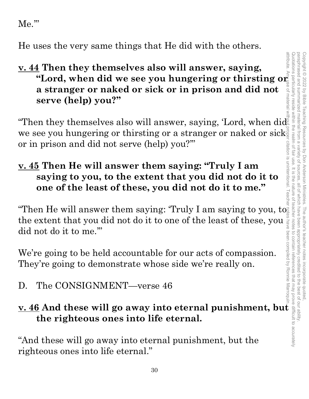Me.'"

He uses the very same things that He did with the others.

# **v. 44 Then they themselves also will answer, saying, "Lord, when did we see you hungering or thirsting or a stranger or naked or sick or in prison and did not serve (help) you?"**

"Then they themselves also will answer, saying, 'Lord, when did we see you hungering or thirsting or a stranger or naked or sick or in prison and did not serve (help) you?'"

# **v. 45 Then He will answer them saying: "Truly I am saying to you, to the extent that you did not do it to one of the least of these, you did not do it to me."**

one of the least of these, you did not do it to me.<br>"Then He will answer them saying: 'Truly I am saying to you, to the extent that you did not do it to one of the least of these, you  $\frac{3}{8}$  did not do it to me."<br>We're going to be held accountable for our acts of compassion.<br>They're going to demonstrate whose side we're really on.<br>D did not do it to me.'"

We're going to be held accountable for our acts of compassion. They're going to demonstrate whose side we're really on.

# D. The CONSIGNMENT—verse 46

# **u. 46** And these will go away into eternal punishment, but the set of these will go away into eternal punishment, but  $\frac{1}{2}$ <br>
"And these will go away into eternal punishment, but  $\frac{1}{2}$ <br>
"And these will go away into **the righteous ones into life eternal.**

"And these will go away into eternal punishment, but the righteous ones into life eternal."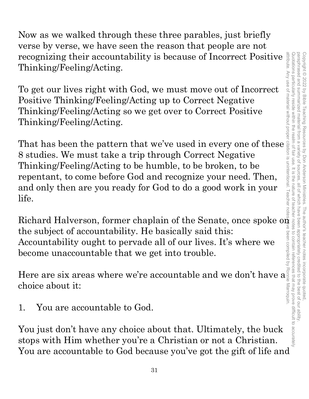Now as we walked through these three parables, just briefly verse by verse, we have seen the reason that people are not recognizing their accountability is because of Incorrect Positive Thinking/Feeling/Acting.

To get our lives right with God, we must move out of Incorrect Positive Thinking/Feeling/Acting up to Correct Negative Thinking/Feeling/Acting so we get over to Correct Positive Thinking/Feeling/Acting.

That has been the pattern that we've used in every one of these 8 studies. We must take a trip through Correct Negative Thinking/Feeling/Acting to be humble, to be broken, to be repentant, to come before God and recognize your need. Then, and only then are you ready for God to do a good work in your life.

Richard Halverson, former chaplain of the Senate, once spoke on the subject of accountability. He basically said this: Accountability ought to pervade all of our lives. It's where we become unaccountable that we get into trouble.

Here are six areas where we're accountable and we don't have a choice about it:

1. You are accountable to God.

You just don't have any choice about that. Ultimately, the buck stops with Him whether you're a Christian or not a Christian. You are accountable to God because you've got the gift of life and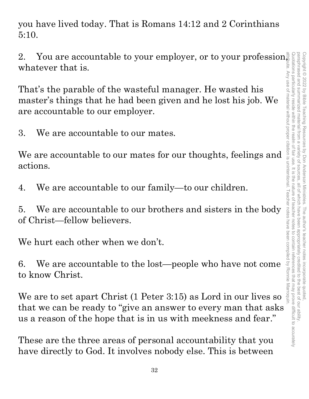you have lived today. That is Romans 14:12 and 2 Corinthians 5:10.

whatever that is.

2. You are accountable to your employer, or to your profession, whatever that is.<br>
That's the parable of the wasteful manager. He wasted his and the parable of the wasteful manager. He wasted his master's things that he h That's the parable of the wasteful manager. He wasted his master's things that he had been given and he lost his job. We are accountable to our employer.

3. We are accountable to our mates.

We are accountable to our mates for our thoughts, feelings and actions.

4. We are accountable to our family—to our children.

5. We are accountable to our brothers and sisters in the body of Christ—fellow believers.

We hurt each other when we don't.

6. We are accountable to the lost—people who have not come to know Christ.

We are to set apart Christ (1 Peter 3:15) as Lord in our lives so that we can be ready to "give an answer to every man that asks us a reason of the hope that is in us with meekness and fear."

These are the three areas of personal accountability that you have directly to God. It involves nobody else. This is between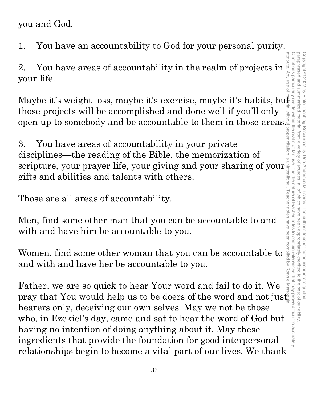you and God.

1. You have an accountability to God for your personal purity.

2. You have areas of accountability in the realm of projects in  $\sum_{\substack{z \text{ odd}\\ z \text{ odd}}}$ your life.

Maybe it's weight loss, maybe it's exercise, maybe it's habits, but those projects will be accomplished and done well if you'll only attribute. Any use of material without proper citation is unintentional. Teacher notes have been compiled by Ronnie Marroquin.

open up to somebody and be accountable to them in those areas.<br>
3. You have areas of accountability in your private<br>
disciplines—the reading of the Bible, the memorization of<br>
scripture, your prayer life, your giving and 3. You have areas of accountability in your private disciplines—the reading of the Bible, the memorization of scripture, your prayer life, your giving and your sharing of your gifts and abilities and talents with others.

Those are all areas of accountability.

Men, find some other man that you can be accountable to and with and have him be accountable to you.

Women, find some other woman that you can be accountable to and with and have her be accountable to you.

Father, we are so quick to hear Your word and fail to do it. We pray that You would help us to be doers of the word and not just hearers only, deceiving our own selves. May we not be those who, in Ezekiel's day, came and sat to hear the word of God but having no intention of doing anything about it. May these ingredients that provide the foundation for good interpersonal relationships begin to become a vital part of our lives. We thank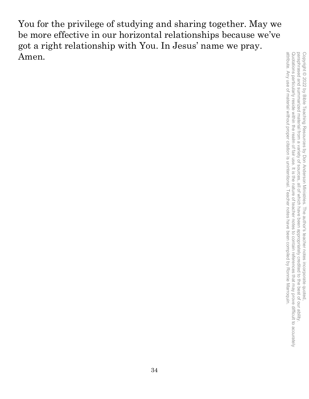You for the privilege of studying and sharing together. May we be more effective in our horizontal relationships because we've got a right relationship with You. In Jesus' name we pray. Amen.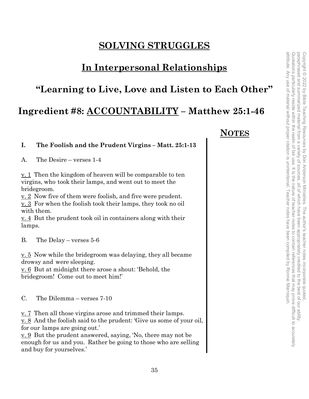# **SOLVING STRUGGLES**

# **In Interpersonal Relationships**

# **"Learning to Live, Love and Listen to Each Other"**

# **Ingredient #8: ACCOUNTABILITY – Matthew 25:1-46**

## **I. The Foolish and the Prudent Virgins – Matt. 25:1-13**

A. The Desire – verses 1-4

v. 1 Then the kingdom of heaven will be comparable to ten virgins, who took their lamps, and went out to meet the bridegroom.

v. 2 Now five of them were foolish, and five were prudent.

v. 3 For when the foolish took their lamps, they took no oil with them.

v. 4 But the prudent took oil in containers along with their lamps.

B. The Delay – verses 5-6

v. 5 Now while the bridegroom was delaying, they all became drowsy and were sleeping.

v. 6 But at midnight there arose a shout: 'Behold, the bridegroom! Come out to meet him!'

C. The Dilemma – verses 7-10

v. 7 Then all those virgins arose and trimmed their lamps.

v. 8 And the foolish said to the prudent: 'Give us some of your oil, for our lamps are going out.'

v. 9 But the prudent answered, saying, 'No, there may not be enough for us and you. Rather be going to those who are selling and buy for yourselves.'

# **NOTES**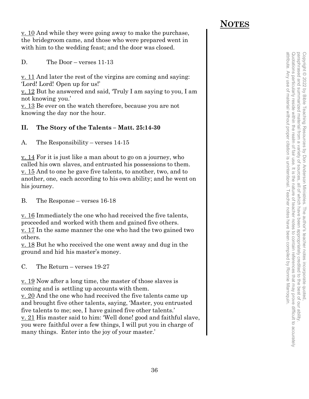v. 10 And while they were going away to make the purchase, the bridegroom came, and those who were prepared went in with him to the wedding feast; and the door was closed.

D. The Door – verses 11-13

 $\underline{v}$ . 11 And later the rest of the virgins are coming and saying: 'Lord! Lord! Open up for us!'

v. 12 But he answered and said, 'Truly I am saying to you, I am not knowing you.'

v. 13 Be ever on the watch therefore, because you are not knowing the day nor the hour.

## **II. The Story of the Talents – Matt. 25:14-30**

A. The Responsibility – verses 14-15

<u>v. 14</u> For it is just like a man about to go on a journey, who called his own slaves, and entrusted his possessions to them. v. 15 And to one he gave five talents, to another, two, and to another, one, each according to his own ability; and he went on his journey.

B. The Response – verses 16-18

v. 16 Immediately the one who had received the five talents, proceeded and worked with them and gained five others. <u>v. 17</u> In the same manner the one who had the two gained two others.

v. 18 But he who received the one went away and dug in the ground and hid his master's money.

C. The Return – verses 19-27

v. 19 Now after a long time, the master of those slaves is coming and is settling up accounts with them.

<u>v. 20</u> And the one who had received the five talents came up and brought five other talents, saying, 'Master, you entrusted five talents to me; see, I have gained five other talents.' v. 21 His master said to him: 'Well done! good and faithful slave, you were faithful over a few things, I will put you in charge of many things. Enter into the joy of your master.'

# **NOTES**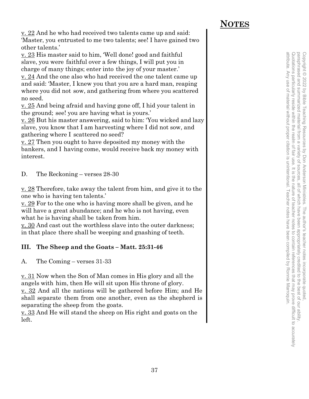# **NOTES**

v. 22 And he who had received two talents came up and said: 'Master, you entrusted to me two talents; see! I have gained two other talents.'

v. 23 His master said to him, 'Well done! good and faithful slave, you were faithful over a few things, I will put you in charge of many things; enter into the joy of your master.'

v. 24 And the one also who had received the one talent came up and said: 'Master, I knew you that you are a hard man, reaping where you did not sow, and gathering from where you scattered no seed.

v. 25 And being afraid and having gone off, I hid your talent in the ground; see! you are having what is yours.'

v. 26 But his master answering, said to him: 'You wicked and lazy slave, you know that I am harvesting where I did not sow, and gathering where I scattered no seed?

v. 27 Then you ought to have deposited my money with the bankers, and I having come, would receive back my money with interest.

D. The Reckoning – verses 28-30

v. 28 Therefore, take away the talent from him, and give it to the one who is having ten talents.'

v. 29 For to the one who is having more shall be given, and he will have a great abundance; and he who is not having, even what he is having shall be taken from him.

v. 30 And cast out the worthless slave into the outer darkness; in that place there shall be weeping and gnashing of teeth.

# **III. The Sheep and the Goats – Matt. 25:31-46**

A. The Coming – verses 31-33

v. 31 Now when the Son of Man comes in His glory and all the angels with him, then He will sit upon His throne of glory.

v. 32 And all the nations will be gathered before Him; and He shall separate them from one another, even as the shepherd is separating the sheep from the goats.

<u>v. 33</u> And He will stand the sheep on His right and goats on the left.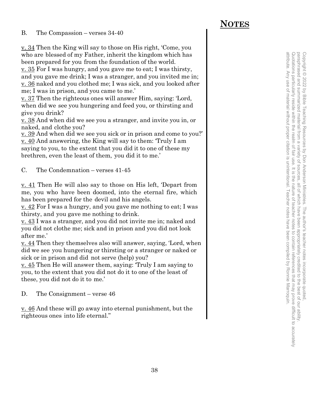### B. The Compassion – verses 34-40

v. 34 Then the King will say to those on His right, 'Come, you who are blessed of my Father, inherit the kingdom which has been prepared for you from the foundation of the world.

v. 35 For I was hungry, and you gave me to eat; I was thirsty, and you gave me drink; I was a stranger, and you invited me in; v. 36 naked and you clothed me; I was sick, and you looked after me; I was in prison, and you came to me.'

v. 37 Then the righteous ones will answer Him, saying: 'Lord, when did we see you hungering and feed you, or thirsting and give you drink?

v. 38 And when did we see you a stranger, and invite you in, or naked, and clothe you?

v. 39 And when did we see you sick or in prison and come to you?' v. 40 And answering, the King will say to them: 'Truly I am saying to you, to the extent that you did it to one of these my brethren, even the least of them, you did it to me.'

C. The Condemnation – verses 41-45

v. 41 Then He will also say to those on His left, 'Depart from me, you who have been doomed, into the eternal fire, which has been prepared for the devil and his angels.

v. 42 For I was a hungry, and you gave me nothing to eat; I was thirsty, and you gave me nothing to drink.

v. 43 I was a stranger, and you did not invite me in; naked and you did not clothe me; sick and in prison and you did not look after me.'

v. 44 Then they themselves also will answer, saying, 'Lord, when did we see you hungering or thirsting or a stranger or naked or sick or in prison and did not serve (help) you?

v. 45 Then He will answer them, saying: 'Truly I am saying to you, to the extent that you did not do it to one of the least of these, you did not do it to me.'

D. The Consignment – verse 46

v. 46 And these will go away into eternal punishment, but the righteous ones into life eternal."

# **NOTES**